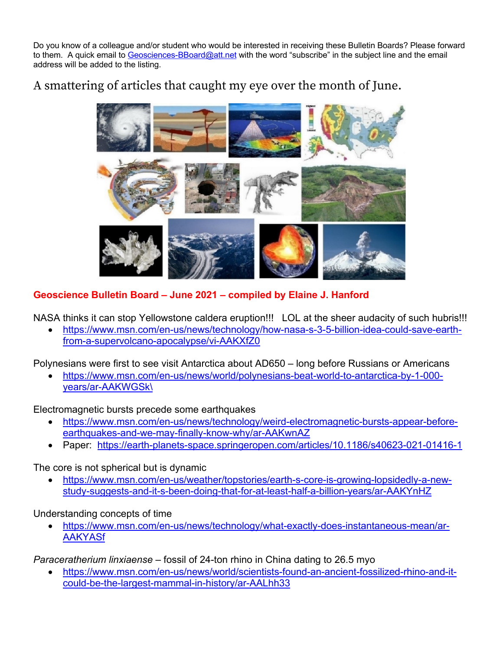Do you know of a colleague and/or student who would be interested in receiving these Bulletin Boards? Please forward to them. A quick email to Geosciences-BBoard@att.net with the word "subscribe" in the subject line and the email address will be added to the listing.

## A smattering of articles that caught my eye over the month of June.



**Geoscience Bulletin Board – June 2021 – compiled by Elaine J. Hanford**

NASA thinks it can stop Yellowstone caldera eruption!!! LOL at the sheer audacity of such hubris!!!

• https://www.msn.com/en-us/news/technology/how-nasa-s-3-5-billion-idea-could-save-earthfrom-a-supervolcano-apocalypse/vi-AAKXfZ0

Polynesians were first to see visit Antarctica about AD650 – long before Russians or Americans

• https://www.msn.com/en-us/news/world/polynesians-beat-world-to-antarctica-by-1-000 years/ar-AAKWGSk\

Electromagnetic bursts precede some earthquakes

- https://www.msn.com/en-us/news/technology/weird-electromagnetic-bursts-appear-beforeearthquakes-and-we-may-finally-know-why/ar-AAKwnAZ
- Paper: https://earth-planets-space.springeropen.com/articles/10.1186/s40623-021-01416-1

The core is not spherical but is dynamic

• https://www.msn.com/en-us/weather/topstories/earth-s-core-is-growing-lopsidedly-a-newstudy-suggests-and-it-s-been-doing-that-for-at-least-half-a-billion-years/ar-AAKYnHZ

Understanding concepts of time

• https://www.msn.com/en-us/news/technology/what-exactly-does-instantaneous-mean/ar-AAKYASf

*Paraceratherium linxiaense* – fossil of 24-ton rhino in China dating to 26.5 myo

• https://www.msn.com/en-us/news/world/scientists-found-an-ancient-fossilized-rhino-and-itcould-be-the-largest-mammal-in-history/ar-AALhh33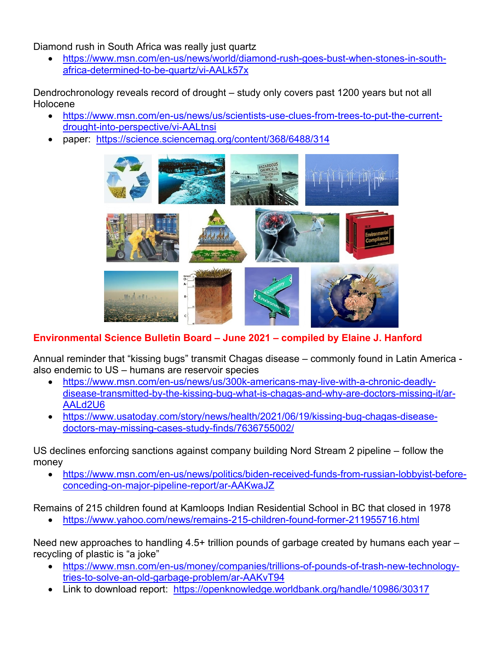Diamond rush in South Africa was really just quartz

• https://www.msn.com/en-us/news/world/diamond-rush-goes-bust-when-stones-in-southafrica-determined-to-be-quartz/vi-AALk57x

Dendrochronology reveals record of drought – study only covers past 1200 years but not all Holocene

- https://www.msn.com/en-us/news/us/scientists-use-clues-from-trees-to-put-the-currentdrought-into-perspective/vi-AALtnsi
- paper: https://science.sciencemag.org/content/368/6488/314



## **Environmental Science Bulletin Board – June 2021 – compiled by Elaine J. Hanford**

Annual reminder that "kissing bugs" transmit Chagas disease – commonly found in Latin America also endemic to US – humans are reservoir species

- https://www.msn.com/en-us/news/us/300k-americans-may-live-with-a-chronic-deadlydisease-transmitted-by-the-kissing-bug-what-is-chagas-and-why-are-doctors-missing-it/ar-AALd2U6
- https://www.usatoday.com/story/news/health/2021/06/19/kissing-bug-chagas-diseasedoctors-may-missing-cases-study-finds/7636755002/

US declines enforcing sanctions against company building Nord Stream 2 pipeline – follow the money

• https://www.msn.com/en-us/news/politics/biden-received-funds-from-russian-lobbyist-beforeconceding-on-major-pipeline-report/ar-AAKwaJZ

Remains of 215 children found at Kamloops Indian Residential School in BC that closed in 1978

• https://www.yahoo.com/news/remains-215-children-found-former-211955716.html

Need new approaches to handling 4.5+ trillion pounds of garbage created by humans each year – recycling of plastic is "a joke"

- https://www.msn.com/en-us/money/companies/trillions-of-pounds-of-trash-new-technologytries-to-solve-an-old-garbage-problem/ar-AAKvT94
- Link to download report: https://openknowledge.worldbank.org/handle/10986/30317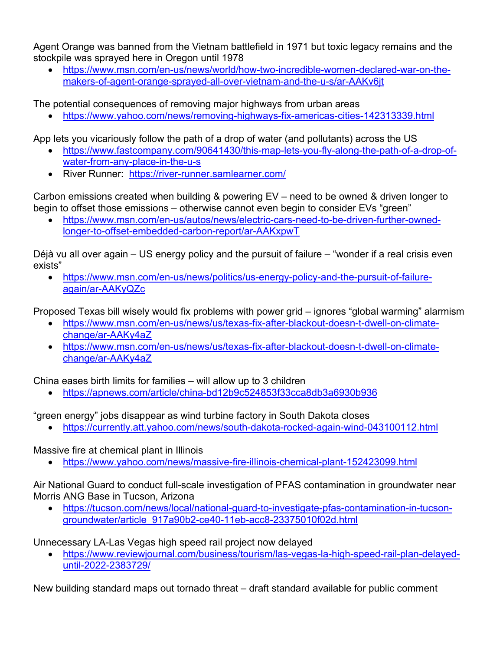Agent Orange was banned from the Vietnam battlefield in 1971 but toxic legacy remains and the stockpile was sprayed here in Oregon until 1978

• https://www.msn.com/en-us/news/world/how-two-incredible-women-declared-war-on-themakers-of-agent-orange-sprayed-all-over-vietnam-and-the-u-s/ar-AAKv6jt

The potential consequences of removing major highways from urban areas

• https://www.yahoo.com/news/removing-highways-fix-americas-cities-142313339.html

App lets you vicariously follow the path of a drop of water (and pollutants) across the US

- https://www.fastcompany.com/90641430/this-map-lets-you-fly-along-the-path-of-a-drop-ofwater-from-any-place-in-the-u-s
- River Runner: https://river-runner.samlearner.com/

Carbon emissions created when building & powering EV – need to be owned & driven longer to begin to offset those emissions – otherwise cannot even begin to consider EVs "green"

• https://www.msn.com/en-us/autos/news/electric-cars-need-to-be-driven-further-ownedlonger-to-offset-embedded-carbon-report/ar-AAKxpwT

Déjà vu all over again – US energy policy and the pursuit of failure – "wonder if a real crisis even exists"

• https://www.msn.com/en-us/news/politics/us-energy-policy-and-the-pursuit-of-failureagain/ar-AAKyQZc

Proposed Texas bill wisely would fix problems with power grid – ignores "global warming" alarmism

- https://www.msn.com/en-us/news/us/texas-fix-after-blackout-doesn-t-dwell-on-climatechange/ar-AAKy4aZ
- https://www.msn.com/en-us/news/us/texas-fix-after-blackout-doesn-t-dwell-on-climatechange/ar-AAKy4aZ

China eases birth limits for families – will allow up to 3 children

• https://apnews.com/article/china-bd12b9c524853f33cca8db3a6930b936

"green energy" jobs disappear as wind turbine factory in South Dakota closes

• https://currently.att.yahoo.com/news/south-dakota-rocked-again-wind-043100112.html

Massive fire at chemical plant in Illinois

• https://www.yahoo.com/news/massive-fire-illinois-chemical-plant-152423099.html

Air National Guard to conduct full-scale investigation of PFAS contamination in groundwater near Morris ANG Base in Tucson, Arizona

• https://tucson.com/news/local/national-guard-to-investigate-pfas-contamination-in-tucsongroundwater/article\_917a90b2-ce40-11eb-acc8-23375010f02d.html

Unnecessary LA-Las Vegas high speed rail project now delayed

• https://www.reviewjournal.com/business/tourism/las-vegas-la-high-speed-rail-plan-delayeduntil-2022-2383729/

New building standard maps out tornado threat – draft standard available for public comment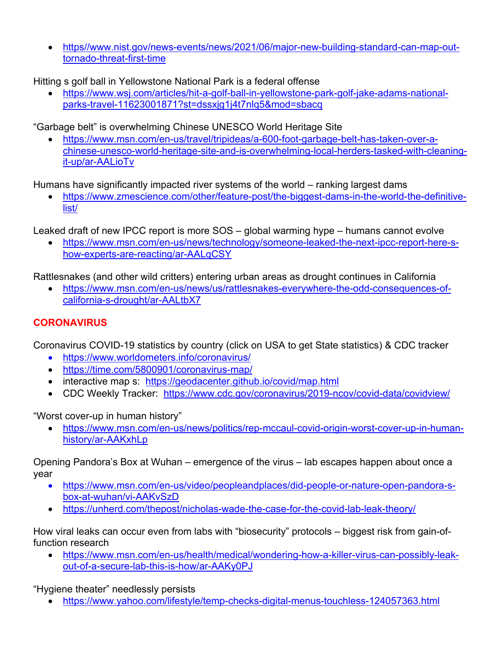• https//www.nist.gov/news-events/news/2021/06/major-new-building-standard-can-map-outtornado-threat-first-time

Hitting s golf ball in Yellowstone National Park is a federal offense

• https://www.wsj.com/articles/hit-a-golf-ball-in-yellowstone-park-golf-jake-adams-nationalparks-travel-11623001871?st=dssxjg1j4t7nlq5&mod=sbacq

"Garbage belt" is overwhelming Chinese UNESCO World Heritage Site

• https://www.msn.com/en-us/travel/tripideas/a-600-foot-garbage-belt-has-taken-over-achinese-unesco-world-heritage-site-and-is-overwhelming-local-herders-tasked-with-cleaningit-up/ar-AALioTv

Humans have significantly impacted river systems of the world – ranking largest dams

• https://www.zmescience.com/other/feature-post/the-biggest-dams-in-the-world-the-definitivelist/

Leaked draft of new IPCC report is more SOS – global warming hype – humans cannot evolve

• https://www.msn.com/en-us/news/technology/someone-leaked-the-next-ipcc-report-here-show-experts-are-reacting/ar-AALqCSY

Rattlesnakes (and other wild critters) entering urban areas as drought continues in California

• https://www.msn.com/en-us/news/us/rattlesnakes-everywhere-the-odd-consequences-ofcalifornia-s-drought/ar-AALtbX7

## **CORONAVIRUS**

Coronavirus COVID-19 statistics by country (click on USA to get State statistics) & CDC tracker

- https://www.worldometers.info/coronavirus/
- https://time.com/5800901/coronavirus-map/
- interactive map s: https://geodacenter.github.io/covid/map.html
- CDC Weekly Tracker: https://www.cdc.gov/coronavirus/2019-ncov/covid-data/covidview/

"Worst cover-up in human history"

• https://www.msn.com/en-us/news/politics/rep-mccaul-covid-origin-worst-cover-up-in-humanhistory/ar-AAKxhLp

Opening Pandora's Box at Wuhan – emergence of the virus – lab escapes happen about once a year

- https://www.msn.com/en-us/video/peopleandplaces/did-people-or-nature-open-pandora-sbox-at-wuhan/vi-AAKvSzD
- https://unherd.com/thepost/nicholas-wade-the-case-for-the-covid-lab-leak-theory/

How viral leaks can occur even from labs with "biosecurity" protocols – biggest risk from gain-offunction research

• https://www.msn.com/en-us/health/medical/wondering-how-a-killer-virus-can-possibly-leakout-of-a-secure-lab-this-is-how/ar-AAKy0PJ

"Hygiene theater" needlessly persists

• https://www.yahoo.com/lifestyle/temp-checks-digital-menus-touchless-124057363.html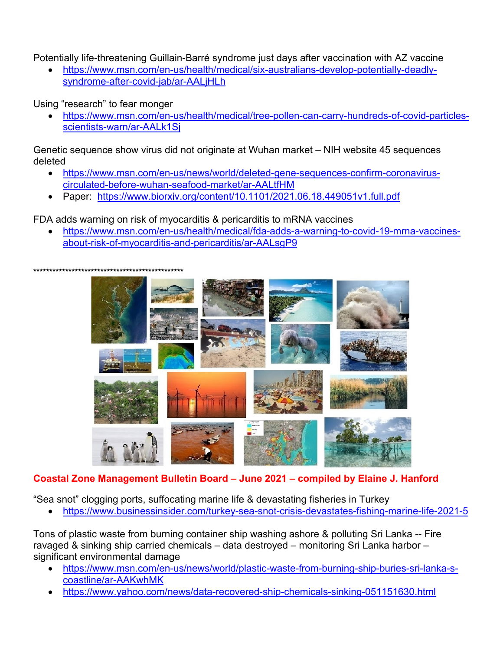Potentially life-threatening Guillain-Barré syndrome just days after vaccination with AZ vaccine

• https://www.msn.com/en-us/health/medical/six-australians-develop-potentially-deadlysyndrome-after-covid-jab/ar-AALjHLh

Using "research" to fear monger

• https://www.msn.com/en-us/health/medical/tree-pollen-can-carry-hundreds-of-covid-particlesscientists-warn/ar-AALk1Sj

Genetic sequence show virus did not originate at Wuhan market – NIH website 45 sequences deleted

- https://www.msn.com/en-us/news/world/deleted-gene-sequences-confirm-coronaviruscirculated-before-wuhan-seafood-market/ar-AALtfHM
- Paper: https://www.biorxiv.org/content/10.1101/2021.06.18.449051v1.full.pdf

FDA adds warning on risk of myocarditis & pericarditis to mRNA vaccines

• https://www.msn.com/en-us/health/medical/fda-adds-a-warning-to-covid-19-mrna-vaccinesabout-risk-of-myocarditis-and-pericarditis/ar-AALsgP9

**\*\*\*\*\*\*\*\*\*\*\*\*\*\*\*\*\*\*\*\*\*\*\*\*\*\*\*\*\*\*\*\*\*\*\*\*\*\*\*\*\*\*\*\*\*\*\*** 



## **Coastal Zone Management Bulletin Board – June 2021 – compiled by Elaine J. Hanford**

"Sea snot" clogging ports, suffocating marine life & devastating fisheries in Turkey

• https://www.businessinsider.com/turkey-sea-snot-crisis-devastates-fishing-marine-life-2021-5

Tons of plastic waste from burning container ship washing ashore & polluting Sri Lanka -- Fire ravaged & sinking ship carried chemicals – data destroyed – monitoring Sri Lanka harbor – significant environmental damage

- https://www.msn.com/en-us/news/world/plastic-waste-from-burning-ship-buries-sri-lanka-scoastline/ar-AAKwhMK
- https://www.yahoo.com/news/data-recovered-ship-chemicals-sinking-051151630.html